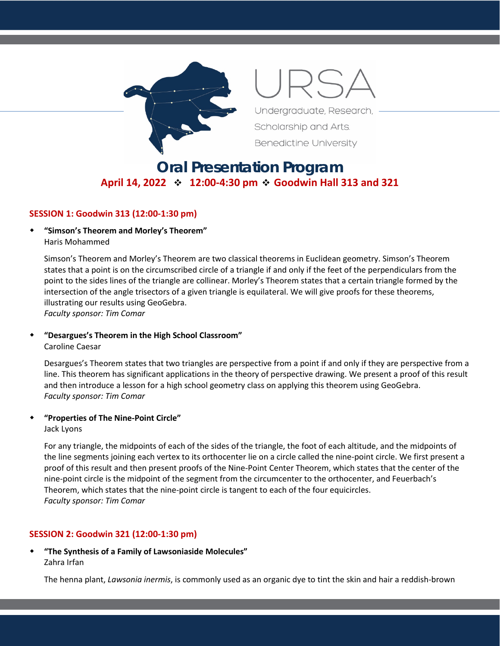

Undergraduate, Research,

Scholarship and Arts. **Benedictine University** 

# **Oral Presentation Program April 14, 2022 12:00-4:30 pm Goodwin Hall 313 and 321**

#### **SESSION 1: Goodwin 313 (12:00-1:30 pm)**

 **"Simson's Theorem and Morley's Theorem"** Haris Mohammed

Simson's Theorem and Morley's Theorem are two classical theorems in Euclidean geometry. Simson's Theorem states that a point is on the circumscribed circle of a triangle if and only if the feet of the perpendiculars from the point to the sides lines of the triangle are collinear. Morley's Theorem states that a certain triangle formed by the intersection of the angle trisectors of a given triangle is equilateral. We will give proofs for these theorems, illustrating our results using GeoGebra.

*Faculty sponsor: Tim Comar*

# **"Desargues's Theorem in the High School Classroom"**

Caroline Caesar

Desargues's Theorem states that two triangles are perspective from a point if and only if they are perspective from a line. This theorem has significant applications in the theory of perspective drawing. We present a proof of this result and then introduce a lesson for a high school geometry class on applying this theorem using GeoGebra. *Faculty sponsor: Tim Comar*

#### **"Properties of The Nine-Point Circle"**

Jack Lyons

For any triangle, the midpoints of each of the sides of the triangle, the foot of each altitude, and the midpoints of the line segments joining each vertex to its orthocenter lie on a circle called the nine-point circle. We first present a proof of this result and then present proofs of the Nine-Point Center Theorem, which states that the center of the nine-point circle is the midpoint of the segment from the circumcenter to the orthocenter, and Feuerbach's Theorem, which states that the nine-point circle is tangent to each of the four equicircles. *Faculty sponsor: Tim Comar*

#### **SESSION 2: Goodwin 321 (12:00-1:30 pm)**

 **"The Synthesis of a Family of Lawsoniaside Molecules"** Zahra Irfan

The henna plant, *Lawsonia inermis*, is commonly used as an organic dye to tint the skin and hair a reddish-brown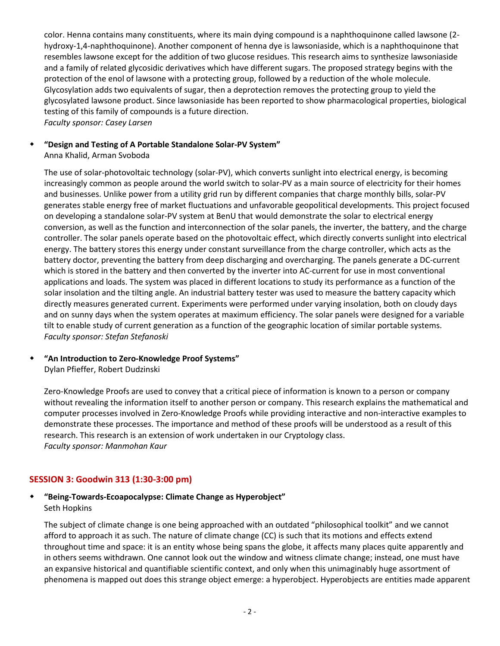color. Henna contains many constituents, where its main dying compound is a naphthoquinone called lawsone (2 hydroxy-1,4-naphthoquinone). Another component of henna dye is lawsoniaside, which is a naphthoquinone that resembles lawsone except for the addition of two glucose residues. This research aims to synthesize lawsoniaside and a family of related glycosidic derivatives which have different sugars. The proposed strategy begins with the protection of the enol of lawsone with a protecting group, followed by a reduction of the whole molecule. Glycosylation adds two equivalents of sugar, then a deprotection removes the protecting group to yield the glycosylated lawsone product. Since lawsoniaside has been reported to show pharmacological properties, biological testing of this family of compounds is a future direction. *Faculty sponsor: Casey Larsen*

#### **"Design and Testing of A Portable Standalone Solar-PV System"**

Anna Khalid, Arman Svoboda

The use of solar-photovoltaic technology (solar-PV), which converts sunlight into electrical energy, is becoming increasingly common as people around the world switch to solar-PV as a main source of electricity for their homes and businesses. Unlike power from a utility grid run by different companies that charge monthly bills, solar-PV generates stable energy free of market fluctuations and unfavorable geopolitical developments. This project focused on developing a standalone solar-PV system at BenU that would demonstrate the solar to electrical energy conversion, as well as the function and interconnection of the solar panels, the inverter, the battery, and the charge controller. The solar panels operate based on the photovoltaic effect, which directly converts sunlight into electrical energy. The battery stores this energy under constant surveillance from the charge controller, which acts as the battery doctor, preventing the battery from deep discharging and overcharging. The panels generate a DC-current which is stored in the battery and then converted by the inverter into AC-current for use in most conventional applications and loads. The system was placed in different locations to study its performance as a function of the solar insolation and the tilting angle. An industrial battery tester was used to measure the battery capacity which directly measures generated current. Experiments were performed under varying insolation, both on cloudy days and on sunny days when the system operates at maximum efficiency. The solar panels were designed for a variable tilt to enable study of current generation as a function of the geographic location of similar portable systems. *Faculty sponsor: Stefan Stefanoski*

# **"An Introduction to Zero-Knowledge Proof Systems"**

Dylan Pfieffer, Robert Dudzinski

Zero-Knowledge Proofs are used to convey that a critical piece of information is known to a person or company without revealing the information itself to another person or company. This research explains the mathematical and computer processes involved in Zero-Knowledge Proofs while providing interactive and non-interactive examples to demonstrate these processes. The importance and method of these proofs will be understood as a result of this research. This research is an extension of work undertaken in our Cryptology class. *Faculty sponsor: Manmohan Kaur*

## **SESSION 3: Goodwin 313 (1:30-3:00 pm)**

## **"Being-Towards-Ecoapocalypse: Climate Change as Hyperobject"** Seth Hopkins

The subject of climate change is one being approached with an outdated "philosophical toolkit" and we cannot afford to approach it as such. The nature of climate change (CC) is such that its motions and effects extend throughout time and space: it is an entity whose being spans the globe, it affects many places quite apparently and in others seems withdrawn. One cannot look out the window and witness climate change; instead, one must have an expansive historical and quantifiable scientific context, and only when this unimaginably huge assortment of phenomena is mapped out does this strange object emerge: a hyperobject. Hyperobjects are entities made apparent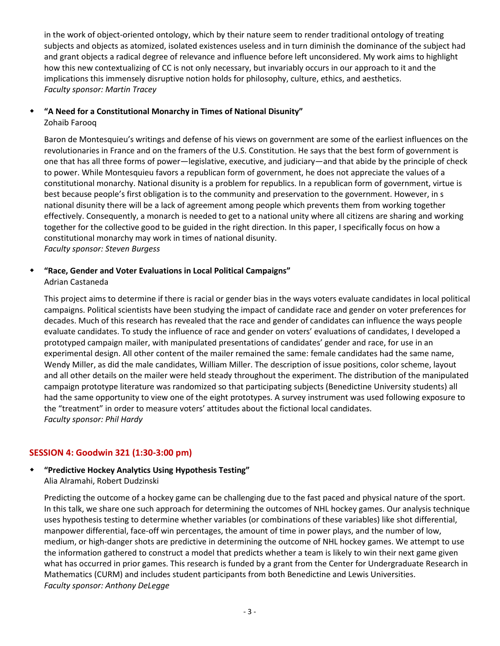in the work of object-oriented ontology, which by their nature seem to render traditional ontology of treating subjects and objects as atomized, isolated existences useless and in turn diminish the dominance of the subject had and grant objects a radical degree of relevance and influence before left unconsidered. My work aims to highlight how this new contextualizing of CC is not only necessary, but invariably occurs in our approach to it and the implications this immensely disruptive notion holds for philosophy, culture, ethics, and aesthetics. *Faculty sponsor: Martin Tracey*

#### **"A Need for a Constitutional Monarchy in Times of National Disunity"** Zohaib Farooq

Baron de Montesquieu's writings and defense of his views on government are some of the earliest influences on the revolutionaries in France and on the framers of the U.S. Constitution. He says that the best form of government is one that has all three forms of power—legislative, executive, and judiciary—and that abide by the principle of check to power. While Montesquieu favors a republican form of government, he does not appreciate the values of a constitutional monarchy. National disunity is a problem for republics. In a republican form of government, virtue is best because people's first obligation is to the community and preservation to the government. However, in s national disunity there will be a lack of agreement among people which prevents them from working together effectively. Consequently, a monarch is needed to get to a national unity where all citizens are sharing and working together for the collective good to be guided in the right direction. In this paper, I specifically focus on how a constitutional monarchy may work in times of national disunity. *Faculty sponsor: Steven Burgess*

#### **"Race, Gender and Voter Evaluations in Local Political Campaigns"** Adrian Castaneda

This project aims to determine if there is racial or gender bias in the ways voters evaluate candidates in local political campaigns. Political scientists have been studying the impact of candidate race and gender on voter preferences for decades. Much of this research has revealed that the race and gender of candidates can influence the ways people evaluate candidates. To study the influence of race and gender on voters' evaluations of candidates, I developed a prototyped campaign mailer, with manipulated presentations of candidates' gender and race, for use in an experimental design. All other content of the mailer remained the same: female candidates had the same name, Wendy Miller, as did the male candidates, William Miller. The description of issue positions, color scheme, layout and all other details on the mailer were held steady throughout the experiment. The distribution of the manipulated campaign prototype literature was randomized so that participating subjects (Benedictine University students) all had the same opportunity to view one of the eight prototypes. A survey instrument was used following exposure to the "treatment" in order to measure voters' attitudes about the fictional local candidates. *Faculty sponsor: Phil Hardy*

## **SESSION 4: Goodwin 321 (1:30-3:00 pm)**

#### **"Predictive Hockey Analytics Using Hypothesis Testing"** Alia Alramahi, Robert Dudzinski

Predicting the outcome of a hockey game can be challenging due to the fast paced and physical nature of the sport. In this talk, we share one such approach for determining the outcomes of NHL hockey games. Our analysis technique uses hypothesis testing to determine whether variables (or combinations of these variables) like shot differential, manpower differential, face-off win percentages, the amount of time in power plays, and the number of low, medium, or high-danger shots are predictive in determining the outcome of NHL hockey games. We attempt to use the information gathered to construct a model that predicts whether a team is likely to win their next game given what has occurred in prior games. This research is funded by a grant from the Center for Undergraduate Research in Mathematics (CURM) and includes student participants from both Benedictine and Lewis Universities. *Faculty sponsor: Anthony DeLegge*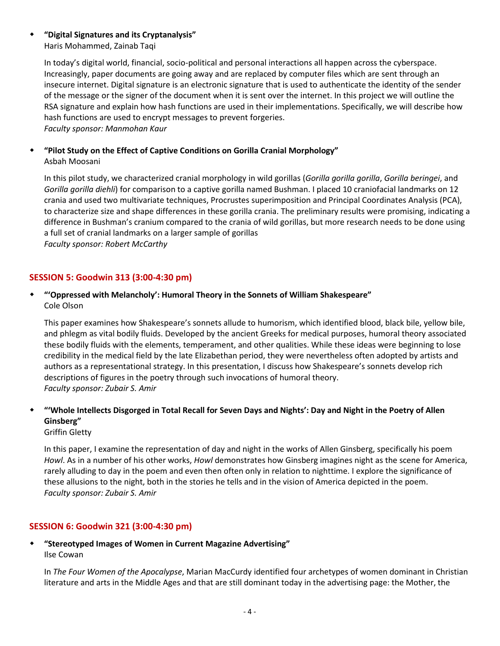#### **"Digital Signatures and its Cryptanalysis"** Haris Mohammed, Zainab Taqi

In today's digital world, financial, socio-political and personal interactions all happen across the cyberspace. Increasingly, paper documents are going away and are replaced by computer files which are sent through an insecure internet. Digital signature is an electronic signature that is used to authenticate the identity of the sender of the message or the signer of the document when it is sent over the internet. In this project we will outline the RSA signature and explain how hash functions are used in their implementations. Specifically, we will describe how hash functions are used to encrypt messages to prevent forgeries. *Faculty sponsor: Manmohan Kaur*

#### **"Pilot Study on the Effect of Captive Conditions on Gorilla Cranial Morphology"** Asbah Moosani

In this pilot study, we characterized cranial morphology in wild gorillas (*Gorilla gorilla gorilla*, *Gorilla beringei*, and *Gorilla gorilla diehli*) for comparison to a captive gorilla named Bushman. I placed 10 craniofacial landmarks on 12 crania and used two multivariate techniques, Procrustes superimposition and Principal Coordinates Analysis (PCA), to characterize size and shape differences in these gorilla crania. The preliminary results were promising, indicating a difference in Bushman's cranium compared to the crania of wild gorillas, but more research needs to be done using a full set of cranial landmarks on a larger sample of gorillas *Faculty sponsor: Robert McCarthy*

## **SESSION 5: Goodwin 313 (3:00-4:30 pm)**

## **"'Oppressed with Melancholy': Humoral Theory in the Sonnets of William Shakespeare"** Cole Olson

This paper examines how Shakespeare's sonnets allude to humorism, which identified blood, black bile, yellow bile, and phlegm as vital bodily fluids. Developed by the ancient Greeks for medical purposes, humoral theory associated these bodily fluids with the elements, temperament, and other qualities. While these ideas were beginning to lose credibility in the medical field by the late Elizabethan period, they were nevertheless often adopted by artists and authors as a representational strategy. In this presentation, I discuss how Shakespeare's sonnets develop rich descriptions of figures in the poetry through such invocations of humoral theory. *Faculty sponsor: Zubair S. Amir*

## **"'Whole Intellects Disgorged in Total Recall for Seven Days and Nights': Day and Night in the Poetry of Allen Ginsberg"**

Griffin Gletty

In this paper, I examine the representation of day and night in the works of Allen Ginsberg, specifically his poem *Howl*. As in a number of his other works, *Howl* demonstrates how Ginsberg imagines night as the scene for America, rarely alluding to day in the poem and even then often only in relation to nighttime. I explore the significance of these allusions to the night, both in the stories he tells and in the vision of America depicted in the poem. *Faculty sponsor: Zubair S. Amir*

## **SESSION 6: Goodwin 321 (3:00-4:30 pm)**

 **"Stereotyped Images of Women in Current Magazine Advertising"** Ilse Cowan

In *The Four Women of the Apocalypse*, Marian MacCurdy identified four archetypes of women dominant in Christian literature and arts in the Middle Ages and that are still dominant today in the advertising page: the Mother, the